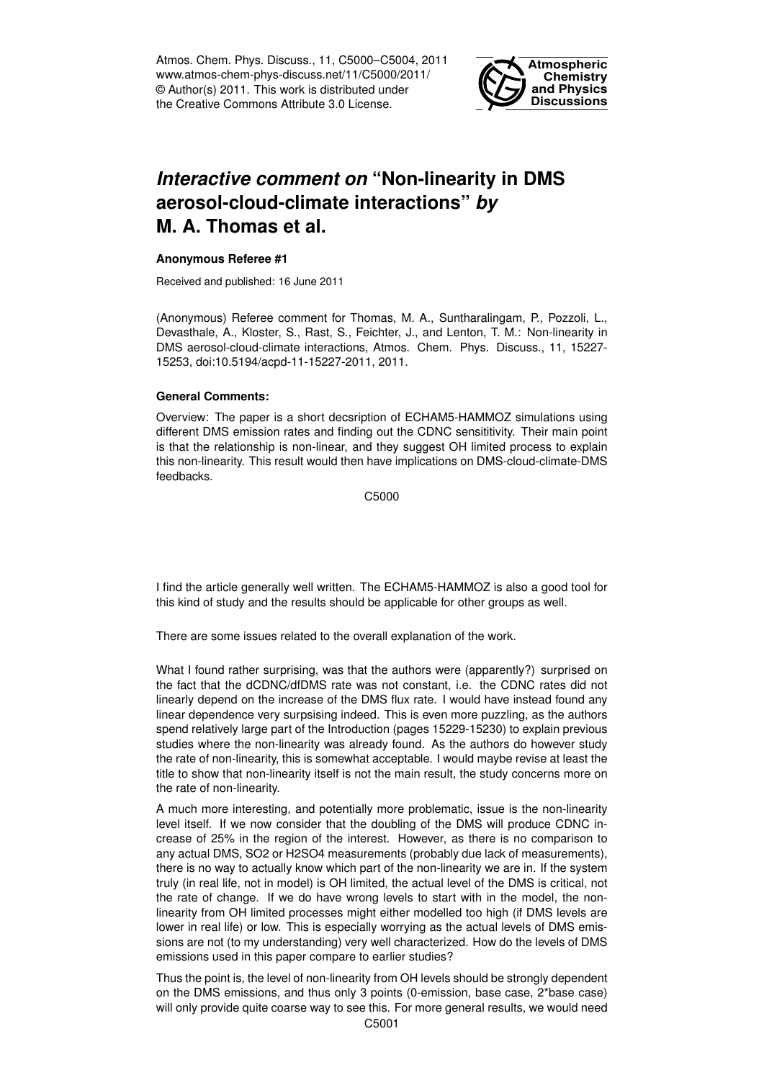Atmos. Chem. Phys. Discuss., 11, C5000–C5004, 2011 www.atmos-chem-phys-discuss.net/11/C5000/2011/ © Author(s) 2011. This work is distributed under the Creative Commons Attribute 3.0 License.



# *Interactive comment on* **"Non-linearity in DMS aerosol-cloud-climate interactions"** *by* **M. A. Thomas et al.**

#### **Anonymous Referee #1**

Received and published: 16 June 2011

(Anonymous) Referee comment for Thomas, M. A., Suntharalingam, P., Pozzoli, L., Devasthale, A., Kloster, S., Rast, S., Feichter, J., and Lenton, T. M.: Non-linearity in DMS aerosol-cloud-climate interactions, Atmos. Chem. Phys. Discuss., 11, 15227- 15253, doi:10.5194/acpd-11-15227-2011, 2011.

#### **General Comments:**

Overview: The paper is a short decsription of ECHAM5-HAMMOZ simulations using different DMS emission rates and finding out the CDNC sensititivity. Their main point is that the relationship is non-linear, and they suggest OH limited process to explain this non-linearity. This result would then have implications on DMS-cloud-climate-DMS feedbacks.

C5000

I find the article generally well written. The ECHAM5-HAMMOZ is also a good tool for this kind of study and the results should be applicable for other groups as well.

There are some issues related to the overall explanation of the work.

What I found rather surprising, was that the authors were (apparently?) surprised on the fact that the dCDNC/dfDMS rate was not constant, i.e. the CDNC rates did not linearly depend on the increase of the DMS flux rate. I would have instead found any linear dependence very surpsising indeed. This is even more puzzling, as the authors spend relatively large part of the Introduction (pages 15229-15230) to explain previous studies where the non-linearity was already found. As the authors do however study the rate of non-linearity, this is somewhat acceptable. I would maybe revise at least the title to show that non-linearity itself is not the main result, the study concerns more on the rate of non-linearity.

A much more interesting, and potentially more problematic, issue is the non-linearity level itself. If we now consider that the doubling of the DMS will produce CDNC increase of 25% in the region of the interest. However, as there is no comparison to any actual DMS, SO2 or H2SO4 measurements (probably due lack of measurements), there is no way to actually know which part of the non-linearity we are in. If the system truly (in real life, not in model) is OH limited, the actual level of the DMS is critical, not the rate of change. If we do have wrong levels to start with in the model, the nonlinearity from OH limited processes might either modelled too high (if DMS levels are lower in real life) or low. This is especially worrying as the actual levels of DMS emissions are not (to my understanding) very well characterized. How do the levels of DMS emissions used in this paper compare to earlier studies?

Thus the point is, the level of non-linearity from OH levels should be strongly dependent on the DMS emissions, and thus only 3 points (0-emission, base case, 2\*base case) will only provide quite coarse way to see this. For more general results, we would need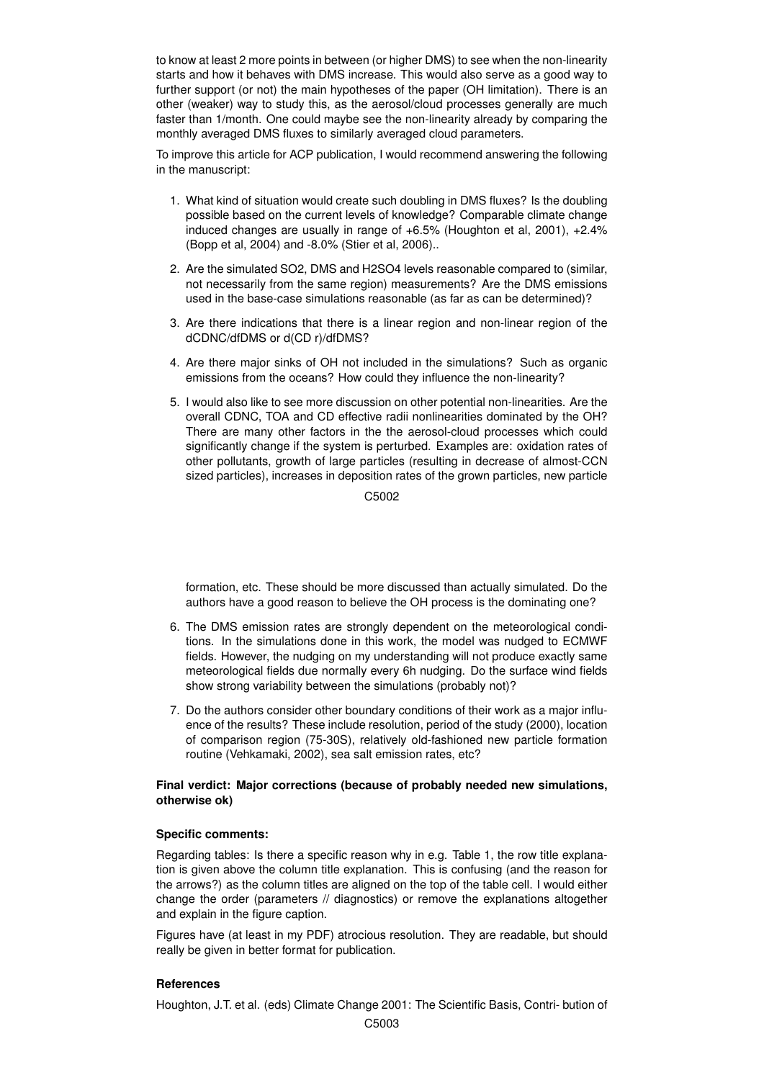to know at least 2 more points in between (or higher DMS) to see when the non-linearity starts and how it behaves with DMS increase. This would also serve as a good way to further support (or not) the main hypotheses of the paper (OH limitation). There is an other (weaker) way to study this, as the aerosol/cloud processes generally are much faster than 1/month. One could maybe see the non-linearity already by comparing the monthly averaged DMS fluxes to similarly averaged cloud parameters.

To improve this article for ACP publication, I would recommend answering the following in the manuscript:

- 1. What kind of situation would create such doubling in DMS fluxes? Is the doubling possible based on the current levels of knowledge? Comparable climate change induced changes are usually in range of +6.5% (Houghton et al, 2001), +2.4% (Bopp et al, 2004) and -8.0% (Stier et al, 2006)..
- 2. Are the simulated SO2, DMS and H2SO4 levels reasonable compared to (similar, not necessarily from the same region) measurements? Are the DMS emissions used in the base-case simulations reasonable (as far as can be determined)?
- 3. Are there indications that there is a linear region and non-linear region of the dCDNC/dfDMS or d(CD r)/dfDMS?
- 4. Are there major sinks of OH not included in the simulations? Such as organic emissions from the oceans? How could they influence the non-linearity?
- 5. I would also like to see more discussion on other potential non-linearities. Are the overall CDNC, TOA and CD effective radii nonlinearities dominated by the OH? There are many other factors in the the aerosol-cloud processes which could significantly change if the system is perturbed. Examples are: oxidation rates of other pollutants, growth of large particles (resulting in decrease of almost-CCN sized particles), increases in deposition rates of the grown particles, new particle

C5002

formation, etc. These should be more discussed than actually simulated. Do the authors have a good reason to believe the OH process is the dominating one?

- 6. The DMS emission rates are strongly dependent on the meteorological conditions. In the simulations done in this work, the model was nudged to ECMWF fields. However, the nudging on my understanding will not produce exactly same meteorological fields due normally every 6h nudging. Do the surface wind fields show strong variability between the simulations (probably not)?
- 7. Do the authors consider other boundary conditions of their work as a major influence of the results? These include resolution, period of the study (2000), location of comparison region (75-30S), relatively old-fashioned new particle formation routine (Vehkamaki, 2002), sea salt emission rates, etc?

## **Final verdict: Major corrections (because of probably needed new simulations, otherwise ok)**

## **Specific comments:**

Regarding tables: Is there a specific reason why in e.g. Table 1, the row title explanation is given above the column title explanation. This is confusing (and the reason for the arrows?) as the column titles are aligned on the top of the table cell. I would either change the order (parameters // diagnostics) or remove the explanations altogether and explain in the figure caption.

Figures have (at least in my PDF) atrocious resolution. They are readable, but should really be given in better format for publication.

## **References**

Houghton, J.T. et al. (eds) Climate Change 2001: The Scientific Basis, Contri- bution of